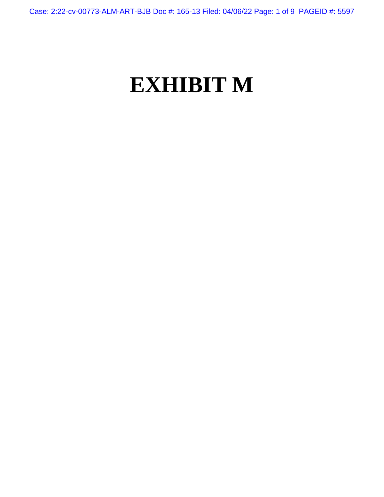Case: 2:22-cv-00773-ALM-ART-BJB Doc #: 165-13 Filed: 04/06/22 Page: 1 of 9 PAGEID #: 5597

## **EXHIBIT M**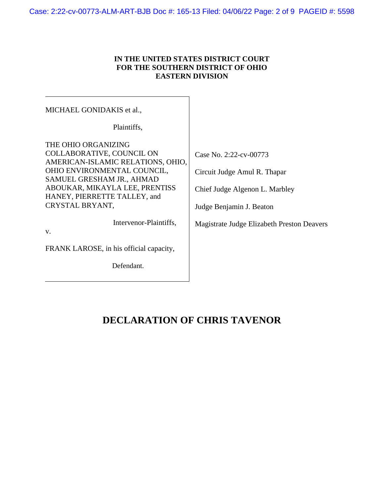## **IN THE UNITED STATES DISTRICT COURT FOR THE SOUTHERN DISTRICT OF OHIO EASTERN DIVISION**

| MICHAEL GONIDAKIS et al.,                                      |                                            |
|----------------------------------------------------------------|--------------------------------------------|
| Plaintiffs,                                                    |                                            |
| THE OHIO ORGANIZING                                            |                                            |
| COLLABORATIVE, COUNCIL ON<br>AMERICAN-ISLAMIC RELATIONS, OHIO, | Case No. 2:22-cv-00773                     |
| OHIO ENVIRONMENTAL COUNCIL,<br>SAMUEL GRESHAM JR., AHMAD       | Circuit Judge Amul R. Thapar               |
| ABOUKAR, MIKAYLA LEE, PRENTISS<br>HANEY, PIERRETTE TALLEY, and | Chief Judge Algenon L. Marbley             |
| CRYSTAL BRYANT,                                                | Judge Benjamin J. Beaton                   |
| Intervenor-Plaintiffs,<br>V.                                   | Magistrate Judge Elizabeth Preston Deavers |
|                                                                |                                            |
| FRANK LAROSE, in his official capacity,                        |                                            |
| Defendant.                                                     |                                            |
|                                                                |                                            |

## **DECLARATION OF CHRIS TAVENOR**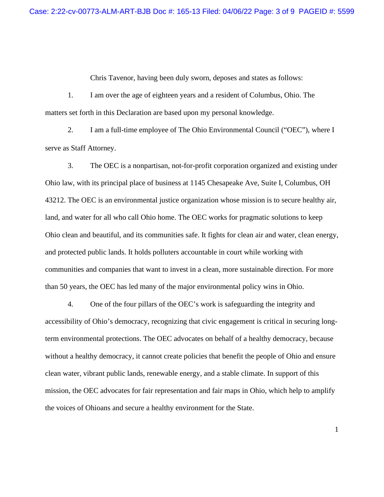Chris Tavenor, having been duly sworn, deposes and states as follows:

1. I am over the age of eighteen years and a resident of Columbus, Ohio. The matters set forth in this Declaration are based upon my personal knowledge.

2. I am a full-time employee of The Ohio Environmental Council ("OEC"), where I serve as Staff Attorney.

3. The OEC is a nonpartisan, not-for-profit corporation organized and existing under Ohio law, with its principal place of business at 1145 Chesapeake Ave, Suite I, Columbus, OH 43212. The OEC is an environmental justice organization whose mission is to secure healthy air, land, and water for all who call Ohio home. The OEC works for pragmatic solutions to keep Ohio clean and beautiful, and its communities safe. It fights for clean air and water, clean energy, and protected public lands. It holds polluters accountable in court while working with communities and companies that want to invest in a clean, more sustainable direction. For more than 50 years, the OEC has led many of the major environmental policy wins in Ohio.

4. One of the four pillars of the OEC's work is safeguarding the integrity and accessibility of Ohio's democracy, recognizing that civic engagement is critical in securing longterm environmental protections. The OEC advocates on behalf of a healthy democracy, because without a healthy democracy, it cannot create policies that benefit the people of Ohio and ensure clean water, vibrant public lands, renewable energy, and a stable climate. In support of this mission, the OEC advocates for fair representation and fair maps in Ohio, which help to amplify the voices of Ohioans and secure a healthy environment for the State.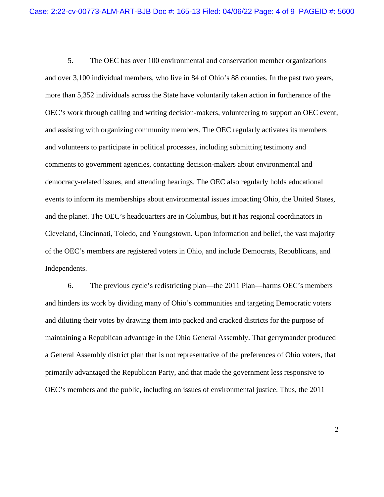5. The OEC has over 100 environmental and conservation member organizations and over 3,100 individual members, who live in 84 of Ohio's 88 counties. In the past two years, more than 5,352 individuals across the State have voluntarily taken action in furtherance of the OEC's work through calling and writing decision-makers, volunteering to support an OEC event, and assisting with organizing community members. The OEC regularly activates its members and volunteers to participate in political processes, including submitting testimony and comments to government agencies, contacting decision-makers about environmental and democracy-related issues, and attending hearings. The OEC also regularly holds educational events to inform its memberships about environmental issues impacting Ohio, the United States, and the planet. The OEC's headquarters are in Columbus, but it has regional coordinators in Cleveland, Cincinnati, Toledo, and Youngstown. Upon information and belief, the vast majority of the OEC's members are registered voters in Ohio, and include Democrats, Republicans, and Independents.

6. The previous cycle's redistricting plan—the 2011 Plan—harms OEC's members and hinders its work by dividing many of Ohio's communities and targeting Democratic voters and diluting their votes by drawing them into packed and cracked districts for the purpose of maintaining a Republican advantage in the Ohio General Assembly. That gerrymander produced a General Assembly district plan that is not representative of the preferences of Ohio voters, that primarily advantaged the Republican Party, and that made the government less responsive to OEC's members and the public, including on issues of environmental justice. Thus, the 2011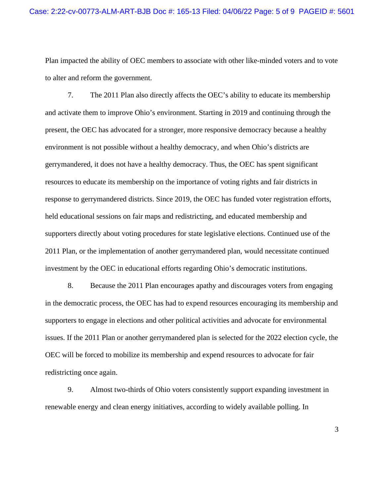Plan impacted the ability of OEC members to associate with other like-minded voters and to vote to alter and reform the government.

7. The 2011 Plan also directly affects the OEC's ability to educate its membership and activate them to improve Ohio's environment. Starting in 2019 and continuing through the present, the OEC has advocated for a stronger, more responsive democracy because a healthy environment is not possible without a healthy democracy, and when Ohio's districts are gerrymandered, it does not have a healthy democracy. Thus, the OEC has spent significant resources to educate its membership on the importance of voting rights and fair districts in response to gerrymandered districts. Since 2019, the OEC has funded voter registration efforts, held educational sessions on fair maps and redistricting, and educated membership and supporters directly about voting procedures for state legislative elections. Continued use of the 2011 Plan, or the implementation of another gerrymandered plan, would necessitate continued investment by the OEC in educational efforts regarding Ohio's democratic institutions.

8. Because the 2011 Plan encourages apathy and discourages voters from engaging in the democratic process, the OEC has had to expend resources encouraging its membership and supporters to engage in elections and other political activities and advocate for environmental issues. If the 2011 Plan or another gerrymandered plan is selected for the 2022 election cycle, the OEC will be forced to mobilize its membership and expend resources to advocate for fair redistricting once again.

9. Almost two-thirds of Ohio voters consistently support expanding investment in renewable energy and clean energy initiatives, according to widely available polling. In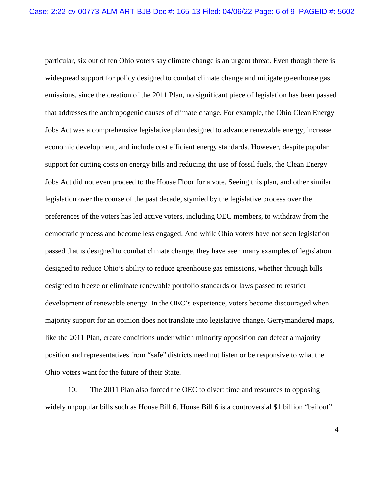particular, six out of ten Ohio voters say climate change is an urgent threat. Even though there is widespread support for policy designed to combat climate change and mitigate greenhouse gas emissions, since the creation of the 2011 Plan, no significant piece of legislation has been passed that addresses the anthropogenic causes of climate change. For example, the Ohio Clean Energy Jobs Act was a comprehensive legislative plan designed to advance renewable energy, increase economic development, and include cost efficient energy standards. However, despite popular support for cutting costs on energy bills and reducing the use of fossil fuels, the Clean Energy Jobs Act did not even proceed to the House Floor for a vote. Seeing this plan, and other similar legislation over the course of the past decade, stymied by the legislative process over the preferences of the voters has led active voters, including OEC members, to withdraw from the democratic process and become less engaged. And while Ohio voters have not seen legislation passed that is designed to combat climate change, they have seen many examples of legislation designed to reduce Ohio's ability to reduce greenhouse gas emissions, whether through bills designed to freeze or eliminate renewable portfolio standards or laws passed to restrict development of renewable energy. In the OEC's experience, voters become discouraged when majority support for an opinion does not translate into legislative change. Gerrymandered maps, like the 2011 Plan, create conditions under which minority opposition can defeat a majority position and representatives from "safe" districts need not listen or be responsive to what the Ohio voters want for the future of their State.

10. The 2011 Plan also forced the OEC to divert time and resources to opposing widely unpopular bills such as House Bill 6. House Bill 6 is a controversial \$1 billion "bailout"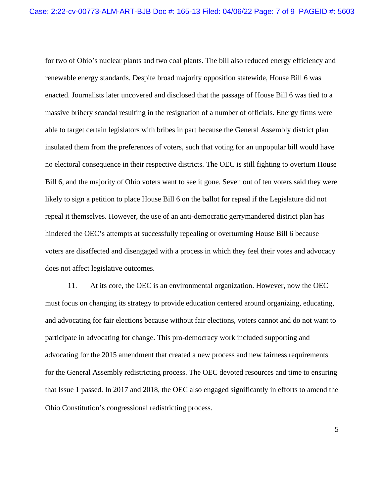for two of Ohio's nuclear plants and two coal plants. The bill also reduced energy efficiency and renewable energy standards. Despite broad majority opposition statewide, House Bill 6 was enacted. Journalists later uncovered and disclosed that the passage of House Bill 6 was tied to a massive bribery scandal resulting in the resignation of a number of officials. Energy firms were able to target certain legislators with bribes in part because the General Assembly district plan insulated them from the preferences of voters, such that voting for an unpopular bill would have no electoral consequence in their respective districts. The OEC is still fighting to overturn House Bill 6, and the majority of Ohio voters want to see it gone. Seven out of ten voters said they were likely to sign a petition to place House Bill 6 on the ballot for repeal if the Legislature did not repeal it themselves. However, the use of an anti-democratic gerrymandered district plan has hindered the OEC's attempts at successfully repealing or overturning House Bill 6 because voters are disaffected and disengaged with a process in which they feel their votes and advocacy does not affect legislative outcomes.

11. At its core, the OEC is an environmental organization. However, now the OEC must focus on changing its strategy to provide education centered around organizing, educating, and advocating for fair elections because without fair elections, voters cannot and do not want to participate in advocating for change. This pro-democracy work included supporting and advocating for the 2015 amendment that created a new process and new fairness requirements for the General Assembly redistricting process. The OEC devoted resources and time to ensuring that Issue 1 passed. In 2017 and 2018, the OEC also engaged significantly in efforts to amend the Ohio Constitution's congressional redistricting process.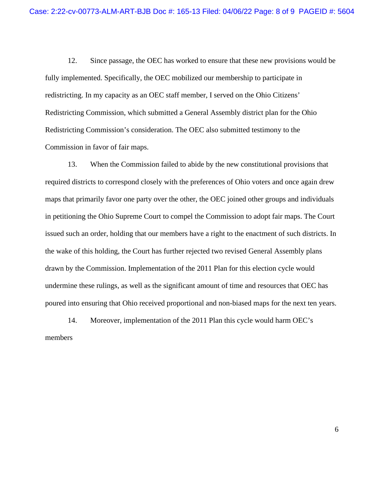12. Since passage, the OEC has worked to ensure that these new provisions would be fully implemented. Specifically, the OEC mobilized our membership to participate in redistricting. In my capacity as an OEC staff member, I served on the Ohio Citizens' Redistricting Commission, which submitted a General Assembly district plan for the Ohio Redistricting Commission's consideration. The OEC also submitted testimony to the Commission in favor of fair maps.

13. When the Commission failed to abide by the new constitutional provisions that required districts to correspond closely with the preferences of Ohio voters and once again drew maps that primarily favor one party over the other, the OEC joined other groups and individuals in petitioning the Ohio Supreme Court to compel the Commission to adopt fair maps. The Court issued such an order, holding that our members have a right to the enactment of such districts. In the wake of this holding, the Court has further rejected two revised General Assembly plans drawn by the Commission. Implementation of the 2011 Plan for this election cycle would undermine these rulings, as well as the significant amount of time and resources that OEC has poured into ensuring that Ohio received proportional and non-biased maps for the next ten years.

14. Moreover, implementation of the 2011 Plan this cycle would harm OEC's members